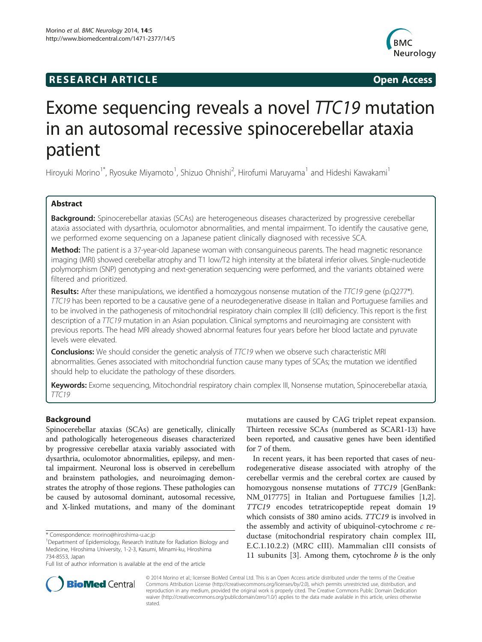# **RESEARCH ARTICLE Example 2014 12:30 The SEAR CHA RTICLE**



# Exome sequencing reveals a novel TTC19 mutation in an autosomal recessive spinocerebellar ataxia patient

Hiroyuki Morino<sup>1\*</sup>, Ryosuke Miyamoto<sup>1</sup>, Shizuo Ohnishi<sup>2</sup>, Hirofumi Maruyama<sup>1</sup> and Hideshi Kawakami<sup>1</sup>

# Abstract

Background: Spinocerebellar ataxias (SCAs) are heterogeneous diseases characterized by progressive cerebellar ataxia associated with dysarthria, oculomotor abnormalities, and mental impairment. To identify the causative gene, we performed exome sequencing on a Japanese patient clinically diagnosed with recessive SCA.

**Method:** The patient is a 37-year-old Japanese woman with consanguineous parents. The head magnetic resonance imaging (MRI) showed cerebellar atrophy and T1 low/T2 high intensity at the bilateral inferior olives. Single-nucleotide polymorphism (SNP) genotyping and next-generation sequencing were performed, and the variants obtained were filtered and prioritized.

Results: After these manipulations, we identified a homozygous nonsense mutation of the TTC19 gene (p.Q277\*). TTC19 has been reported to be a causative gene of a neurodegenerative disease in Italian and Portuguese families and to be involved in the pathogenesis of mitochondrial respiratory chain complex III (cIII) deficiency. This report is the first description of a TTC19 mutation in an Asian population. Clinical symptoms and neuroimaging are consistent with previous reports. The head MRI already showed abnormal features four years before her blood lactate and pyruvate levels were elevated.

**Conclusions:** We should consider the genetic analysis of TTC19 when we observe such characteristic MRI abnormalities. Genes associated with mitochondrial function cause many types of SCAs; the mutation we identified should help to elucidate the pathology of these disorders.

Keywords: Exome sequencing, Mitochondrial respiratory chain complex III, Nonsense mutation, Spinocerebellar ataxia, TTC19

# Background

Spinocerebellar ataxias (SCAs) are genetically, clinically and pathologically heterogeneous diseases characterized by progressive cerebellar ataxia variably associated with dysarthria, oculomotor abnormalities, epilepsy, and mental impairment. Neuronal loss is observed in cerebellum and brainstem pathologies, and neuroimaging demonstrates the atrophy of those regions. These pathologies can be caused by autosomal dominant, autosomal recessive, and X-linked mutations, and many of the dominant

mutations are caused by CAG triplet repeat expansion. Thirteen recessive SCAs (numbered as SCAR1-13) have been reported, and causative genes have been identified for 7 of them.

In recent years, it has been reported that cases of neurodegenerative disease associated with atrophy of the cerebellar vermis and the cerebral cortex are caused by homozygous nonsense mutations of TTC19 [GenBank: NM\_017775] in Italian and Portuguese families [\[1,2](#page-4-0)]. TTC19 encodes tetratricopeptide repeat domain 19 which consists of 380 amino acids. *TTC19* is involved in the assembly and activity of ubiquinol-cytochrome  $c$  reductase (mitochondrial respiratory chain complex III, E.C.1.10.2.2) (MRC cIII). Mammalian cIII consists of 11 subunits [[3\]](#page-4-0). Among them, cytochrome  $b$  is the only



© 2014 Morino et al.; licensee BioMed Central Ltd. This is an Open Access article distributed under the terms of the Creative Commons Attribution License [\(http://creativecommons.org/licenses/by/2.0\)](http://creativecommons.org/licenses/by/2.0), which permits unrestricted use, distribution, and reproduction in any medium, provided the original work is properly cited. The Creative Commons Public Domain Dedication waiver [\(http://creativecommons.org/publicdomain/zero/1.0/\)](http://creativecommons.org/publicdomain/zero/1.0/) applies to the data made available in this article, unless otherwise stated.

<sup>\*</sup> Correspondence: [morino@hiroshima-u.ac.jp](mailto:morino@hiroshima-u.ac.jp) <sup>1</sup>

Department of Epidemiology, Research Institute for Radiation Biology and Medicine, Hiroshima University, 1-2-3, Kasumi, Minami-ku, Hiroshima 734-8553, Japan

Full list of author information is available at the end of the article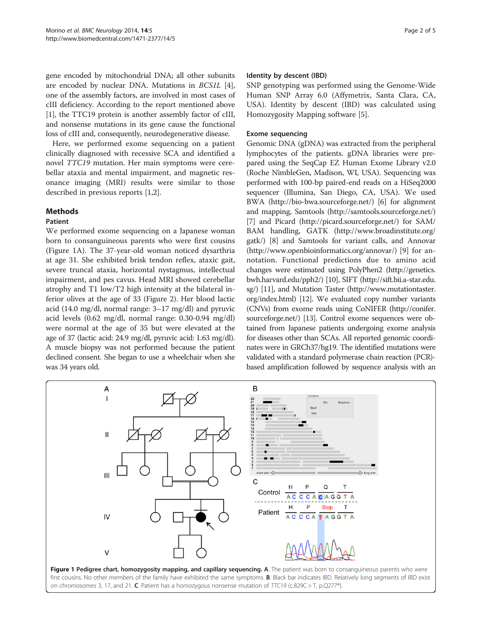<span id="page-1-0"></span>gene encoded by mitochondrial DNA; all other subunits are encoded by nuclear DNA. Mutations in BCS1L [[4](#page-4-0)], one of the assembly factors, are involved in most cases of cIII deficiency. According to the report mentioned above [[1\]](#page-4-0), the TTC19 protein is another assembly factor of cIII, and nonsense mutations in its gene cause the functional loss of cIII and, consequently, neurodegenerative disease.

Here, we performed exome sequencing on a patient clinically diagnosed with recessive SCA and identified a novel TTC19 mutation. Her main symptoms were cerebellar ataxia and mental impairment, and magnetic resonance imaging (MRI) results were similar to those described in previous reports [\[1,2](#page-4-0)].

#### Methods

# Patient

We performed exome sequencing on a Japanese woman born to consanguineous parents who were first cousins (Figure 1A). The 37-year-old woman noticed dysarthria at age 31. She exhibited brisk tendon reflex, ataxic gait, severe truncal ataxia, horizontal nystagmus, intellectual impairment, and pes cavus. Head MRI showed cerebellar atrophy and T1 low/T2 high intensity at the bilateral inferior olives at the age of 33 (Figure [2\)](#page-2-0). Her blood lactic acid (14.0 mg/dl, normal range: 3–17 mg/dl) and pyruvic acid levels (0.62 mg/dl, normal range: 0.30-0.94 mg/dl) were normal at the age of 35 but were elevated at the age of 37 (lactic acid: 24.9 mg/dl, pyruvic acid: 1.63 mg/dl). A muscle biopsy was not performed because the patient declined consent. She began to use a wheelchair when she was 34 years old.

#### Identity by descent (IBD)

SNP genotyping was performed using the Genome-Wide Human SNP Array 6.0 (Affymetrix, Santa Clara, CA, USA). Identity by descent (IBD) was calculated using Homozygosity Mapping software [[5\]](#page-4-0).

#### Exome sequencing

Genomic DNA (gDNA) was extracted from the peripheral lymphocytes of the patients. gDNA libraries were prepared using the SeqCap EZ Human Exome Library v2.0 (Roche NimbleGen, Madison, WI, USA). Sequencing was performed with 100-bp paired-end reads on a HiSeq2000 sequencer (Illumina, San Diego, CA, USA). We used BWA (<http://bio-bwa.sourceforge.net/>) [\[6\]](#page-4-0) for alignment and mapping, Samtools (<http://samtools.sourceforge.net/>) [[7\]](#page-4-0) and Picard (<http://picard.sourceforge.net/>) for SAM/ BAM handling, GATK [\(http://www.broadinstitute.org/](http://www.broadinstitute.org/gatk/) [gatk/](http://www.broadinstitute.org/gatk/)) [\[8](#page-4-0)] and Samtools for variant calls, and Annovar ([http://www.openbioinformatics.org/annovar/\)](http://www.openbioinformatics.org/annovar/) [\[9](#page-4-0)] for annotation. Functional predictions due to amino acid changes were estimated using PolyPhen2 [\(http://genetics.](http://genetics.bwh.harvard.edu/pph2/) [bwh.harvard.edu/pph2/\)](http://genetics.bwh.harvard.edu/pph2/) [[10](#page-4-0)], SIFT [\(http://sift.bii.a-star.edu.](http://sift.bii.a-star.edu.sg/) [sg/](http://sift.bii.a-star.edu.sg/)) [[11](#page-4-0)], and Mutation Taster [\(http://www.mutationtaster.](http://www.mutationtaster.org/index.html) [org/index.html](http://www.mutationtaster.org/index.html)) [\[12](#page-4-0)]. We evaluated copy number variants (CNVs) from exome reads using CoNIFER [\(http://conifer.](http://conifer.sourceforge.net/) [sourceforge.net/](http://conifer.sourceforge.net/)) [[13](#page-4-0)]. Control exome sequences were obtained from Japanese patients undergoing exome analysis for diseases other than SCAs. All reported genomic coordinates were in GRCh37/hg19. The identified mutations were validated with a standard polymerase chain reaction (PCR) based amplification followed by sequence analysis with an



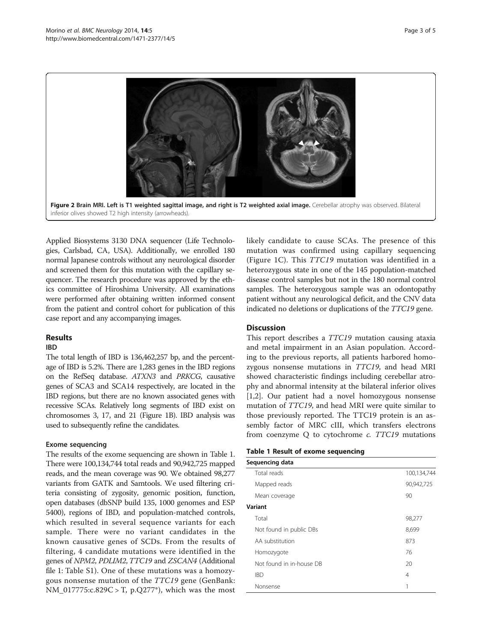<span id="page-2-0"></span>

Applied Biosystems 3130 DNA sequencer (Life Technologies, Carlsbad, CA, USA). Additionally, we enrolled 180 normal Japanese controls without any neurological disorder and screened them for this mutation with the capillary sequencer. The research procedure was approved by the ethics committee of Hiroshima University. All examinations were performed after obtaining written informed consent from the patient and control cohort for publication of this case report and any accompanying images.

# Results

### IBD

The total length of IBD is 136,462,257 bp, and the percentage of IBD is 5.2%. There are 1,283 genes in the IBD regions on the RefSeq database. ATXN3 and PRKCG, causative genes of SCA3 and SCA14 respectively, are located in the IBD regions, but there are no known associated genes with recessive SCAs. Relatively long segments of IBD exist on chromosomes 3, 17, and 21 (Figure [1B](#page-1-0)). IBD analysis was used to subsequently refine the candidates.

### Exome sequencing

The results of the exome sequencing are shown in Table 1. There were 100,134,744 total reads and 90,942,725 mapped reads, and the mean coverage was 90. We obtained 98,277 variants from GATK and Samtools. We used filtering criteria consisting of zygosity, genomic position, function, open databases (dbSNP build 135, 1000 genomes and ESP 5400), regions of IBD, and population-matched controls, which resulted in several sequence variants for each sample. There were no variant candidates in the known causative genes of SCDs. From the results of filtering, 4 candidate mutations were identified in the genes of NPM2, PDLIM2, TTC19 and ZSCAN4 (Additional file [1:](#page-3-0) Table S1). One of these mutations was a homozygous nonsense mutation of the TTC19 gene (GenBank: NM\_017775:c.829C > T, p.Q277\*), which was the most likely candidate to cause SCAs. The presence of this mutation was confirmed using capillary sequencing (Figure [1C](#page-1-0)). This TTC19 mutation was identified in a heterozygous state in one of the 145 population-matched disease control samples but not in the 180 normal control samples. The heterozygous sample was an odontopathy patient without any neurological deficit, and the CNV data indicated no deletions or duplications of the TTC19 gene.

### **Discussion**

This report describes a *TTC19* mutation causing ataxia and metal impairment in an Asian population. According to the previous reports, all patients harbored homozygous nonsense mutations in TTC19, and head MRI showed characteristic findings including cerebellar atrophy and abnormal intensity at the bilateral inferior olives [[1,2\]](#page-4-0). Our patient had a novel homozygous nonsense mutation of TTC19, and head MRI were quite similar to those previously reported. The TTC19 protein is an assembly factor of MRC cIII, which transfers electrons from coenzyme Q to cytochrome c. TTC19 mutations

### Table 1 Result of exome sequencing

| Sequencing data          |             |
|--------------------------|-------------|
| Total reads              | 100,134,744 |
| Mapped reads             | 90,942,725  |
| Mean coverage            | 90          |
| Variant                  |             |
| Total                    | 98,277      |
| Not found in public DBs  | 8,699       |
| AA substitution          | 873         |
| Homozygote               | 76          |
| Not found in in-house DB | 20          |
| <b>IBD</b>               | 4           |
| Nonsense                 | 1           |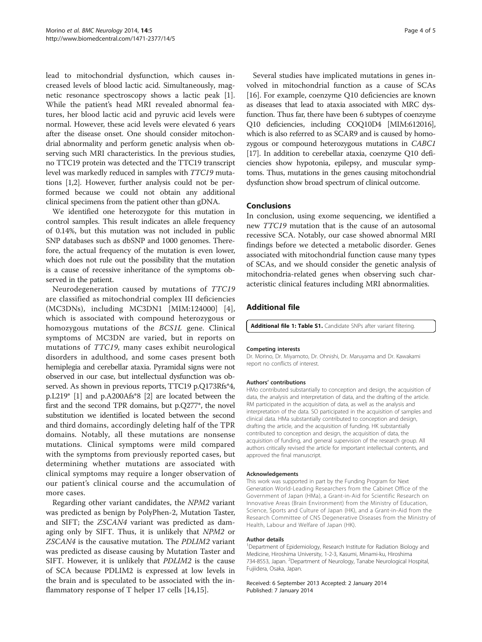<span id="page-3-0"></span>lead to mitochondrial dysfunction, which causes increased levels of blood lactic acid. Simultaneously, magnetic resonance spectroscopy shows a lactic peak [\[1](#page-4-0)]. While the patient's head MRI revealed abnormal features, her blood lactic acid and pyruvic acid levels were normal. However, these acid levels were elevated 6 years after the disease onset. One should consider mitochondrial abnormality and perform genetic analysis when observing such MRI characteristics. In the previous studies, no TTC19 protein was detected and the TTC19 transcript level was markedly reduced in samples with TTC19 mutations [\[1,2\]](#page-4-0). However, further analysis could not be performed because we could not obtain any additional clinical specimens from the patient other than gDNA.

We identified one heterozygote for this mutation in control samples. This result indicates an allele frequency of 0.14%, but this mutation was not included in public SNP databases such as dbSNP and 1000 genomes. Therefore, the actual frequency of the mutation is even lower, which does not rule out the possibility that the mutation is a cause of recessive inheritance of the symptoms observed in the patient.

Neurodegeneration caused by mutations of TTC19 are classified as mitochondrial complex III deficiencies (MC3DNs), including MC3DN1 [MIM:124000] [[4](#page-4-0)], which is associated with compound heterozygous or homozygous mutations of the BCS1L gene. Clinical symptoms of MC3DN are varied, but in reports on mutations of TTC19, many cases exhibit neurological disorders in adulthood, and some cases present both hemiplegia and cerebellar ataxia. Pyramidal signs were not observed in our case, but intellectual dysfunction was observed. As shown in previous reports, TTC19 p.Q173Rfs\*4, p.L219\* [\[1\]](#page-4-0) and p.A200Afs\*8 [\[2\]](#page-4-0) are located between the first and the second TPR domains, but p.Q277\*, the novel substitution we identified is located between the second and third domains, accordingly deleting half of the TPR domains. Notably, all these mutations are nonsense mutations. Clinical symptoms were mild compared with the symptoms from previously reported cases, but determining whether mutations are associated with clinical symptoms may require a longer observation of our patient's clinical course and the accumulation of more cases.

Regarding other variant candidates, the NPM2 variant was predicted as benign by PolyPhen-2, Mutation Taster, and SIFT; the ZSCAN4 variant was predicted as damaging only by SIFT. Thus, it is unlikely that NPM2 or ZSCAN4 is the causative mutation. The PDLIM2 variant was predicted as disease causing by Mutation Taster and SIFT. However, it is unlikely that PDLIM2 is the cause of SCA because PDLIM2 is expressed at low levels in the brain and is speculated to be associated with the inflammatory response of T helper 17 cells [[14](#page-4-0),[15](#page-4-0)].

Several studies have implicated mutations in genes involved in mitochondrial function as a cause of SCAs [[16\]](#page-4-0). For example, coenzyme Q10 deficiencies are known as diseases that lead to ataxia associated with MRC dysfunction. Thus far, there have been 6 subtypes of coenzyme Q10 deficiencies, including COQ10D4 [MIM:612016], which is also referred to as SCAR9 and is caused by homozygous or compound heterozygous mutations in CABC1 [[17](#page-4-0)]. In addition to cerebellar ataxia, coenzyme Q10 deficiencies show hypotonia, epilepsy, and muscular symptoms. Thus, mutations in the genes causing mitochondrial dysfunction show broad spectrum of clinical outcome.

#### Conclusions

In conclusion, using exome sequencing, we identified a new TTC19 mutation that is the cause of an autosomal recessive SCA. Notably, our case showed abnormal MRI findings before we detected a metabolic disorder. Genes associated with mitochondrial function cause many types of SCAs, and we should consider the genetic analysis of mitochondria-related genes when observing such characteristic clinical features including MRI abnormalities.

# Additional file

[Additional file 1: Table S1.](http://www.biomedcentral.com/content/supplementary/1471-2377-14-5-S1.xlsx) Candidate SNPs after variant filtering.

#### Competing interests

Dr. Morino, Dr. Miyamoto, Dr. Ohnishi, Dr. Maruyama and Dr. Kawakami report no conflicts of interest.

#### Authors' contributions

HMo contributed substantially to conception and design, the acquisition of data, the analysis and interpretation of data, and the drafting of the article. RM participated in the acquisition of data, as well as the analysis and interpretation of the data. SO participated in the acquisition of samples and clinical data. HMa substantially contributed to conception and design, drafting the article, and the acquisition of funding. HK substantially contributed to conception and design, the acquisition of data, the acquisition of funding, and general supervision of the research group. All authors critically revised the article for important intellectual contents, and approved the final manuscript.

#### Acknowledgements

This work was supported in part by the Funding Program for Next Generation World-Leading Researchers from the Cabinet Office of the Government of Japan (HMa), a Grant-in-Aid for Scientific Research on Innovative Areas (Brain Environment) from the Ministry of Education, Science, Sports and Culture of Japan (HK), and a Grant-in-Aid from the Research Committee of CNS Degenerative Diseases from the Ministry of Health, Labour and Welfare of Japan (HK).

#### Author details

<sup>1</sup>Department of Epidemiology, Research Institute for Radiation Biology and Medicine, Hiroshima University, 1-2-3, Kasumi, Minami-ku, Hiroshima 734-8553, Japan. <sup>2</sup>Department of Neurology, Tanabe Neurological Hospital, Fujiidera, Osaka, Japan.

#### Received: 6 September 2013 Accepted: 2 January 2014 Published: 7 January 2014